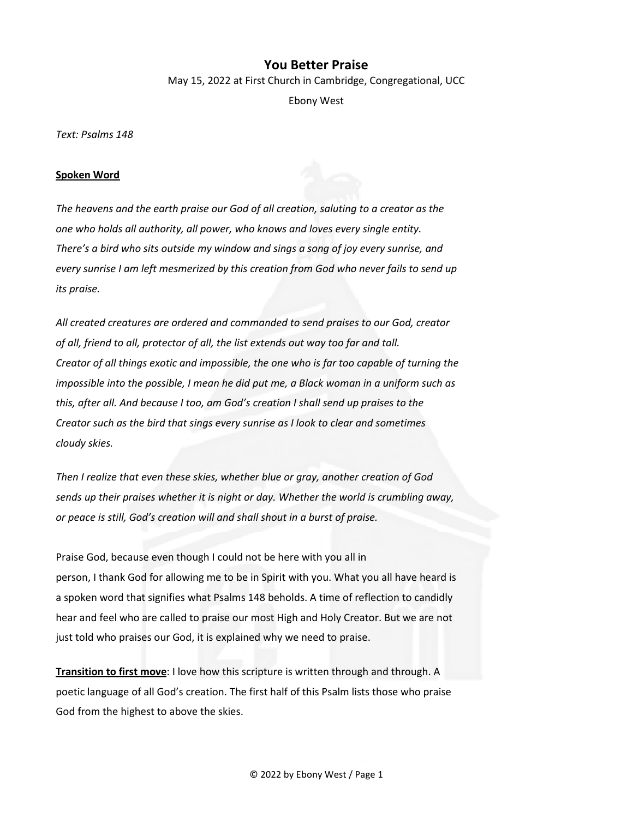## **You Better Praise**

May 15, 2022 at First Church in Cambridge, Congregational, UCC

Ebony West

*Text: Psalms 148* 

## **Spoken Word**

*The heavens and the earth praise our God of all creation, saluting to a creator as the one who holds all authority, all power, who knows and loves every single entity. There's a bird who sits outside my window and sings a song of joy every sunrise, and every sunrise I am left mesmerized by this creation from God who never fails to send up its praise.* 

*All created creatures are ordered and commanded to send praises to our God, creator of all, friend to all, protector of all, the list extends out way too far and tall. Creator of all things exotic and impossible, the one who is far too capable of turning the impossible into the possible, I mean he did put me, a Black woman in a uniform such as this, after all. And because I too, am God's creation I shall send up praises to the Creator such as the bird that sings every sunrise as I look to clear and sometimes cloudy skies.* 

*Then I realize that even these skies, whether blue or gray, another creation of God sends up their praises whether it is night or day. Whether the world is crumbling away, or peace is still, God's creation will and shall shout in a burst of praise.* 

Praise God, because even though I could not be here with you all in person, I thank God for allowing me to be in Spirit with you. What you all have heard is a spoken word that signifies what Psalms 148 beholds. A time of reflection to candidly hear and feel who are called to praise our most High and Holy Creator. But we are not just told who praises our God, it is explained why we need to praise.

**Transition to first move**: I love how this scripture is written through and through. A poetic language of all God's creation. The first half of this Psalm lists those who praise God from the highest to above the skies.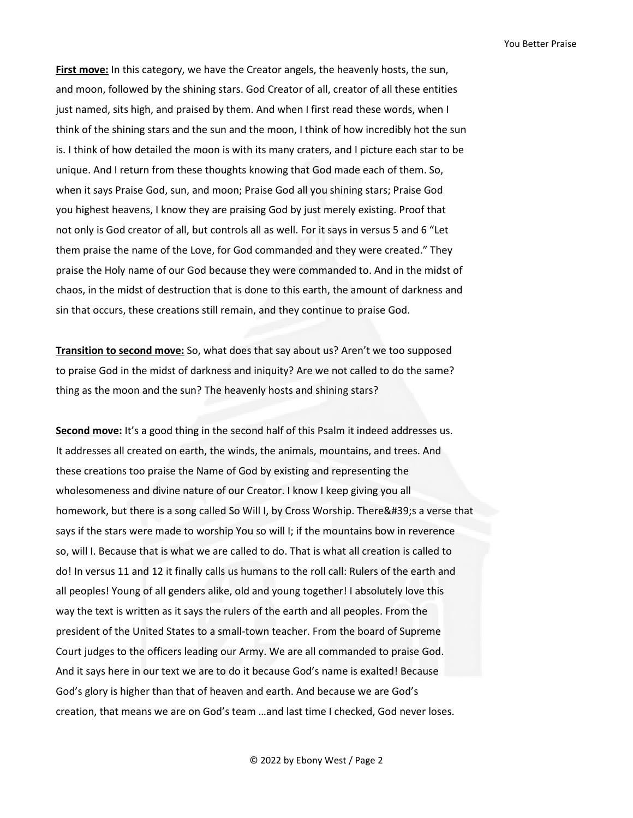**First move:** In this category, we have the Creator angels, the heavenly hosts, the sun, and moon, followed by the shining stars. God Creator of all, creator of all these entities just named, sits high, and praised by them. And when I first read these words, when I think of the shining stars and the sun and the moon, I think of how incredibly hot the sun is. I think of how detailed the moon is with its many craters, and I picture each star to be unique. And I return from these thoughts knowing that God made each of them. So, when it says Praise God, sun, and moon; Praise God all you shining stars; Praise God you highest heavens, I know they are praising God by just merely existing. Proof that not only is God creator of all, but controls all as well. For it says in versus 5 and 6 "Let them praise the name of the Love, for God commanded and they were created." They praise the Holy name of our God because they were commanded to. And in the midst of chaos, in the midst of destruction that is done to this earth, the amount of darkness and sin that occurs, these creations still remain, and they continue to praise God.

**Transition to second move:** So, what does that say about us? Aren't we too supposed to praise God in the midst of darkness and iniquity? Are we not called to do the same? thing as the moon and the sun? The heavenly hosts and shining stars?

**Second move:** It's a good thing in the second half of this Psalm it indeed addresses us. It addresses all created on earth, the winds, the animals, mountains, and trees. And these creations too praise the Name of God by existing and representing the wholesomeness and divine nature of our Creator. I know I keep giving you all homework, but there is a song called So Will I, by Cross Worship. There's a verse that says if the stars were made to worship You so will I; if the mountains bow in reverence so, will I. Because that is what we are called to do. That is what all creation is called to do! In versus 11 and 12 it finally calls us humans to the roll call: Rulers of the earth and all peoples! Young of all genders alike, old and young together! I absolutely love this way the text is written as it says the rulers of the earth and all peoples. From the president of the United States to a small-town teacher. From the board of Supreme Court judges to the officers leading our Army. We are all commanded to praise God. And it says here in our text we are to do it because God's name is exalted! Because God's glory is higher than that of heaven and earth. And because we are God's creation, that means we are on God's team …and last time I checked, God never loses.